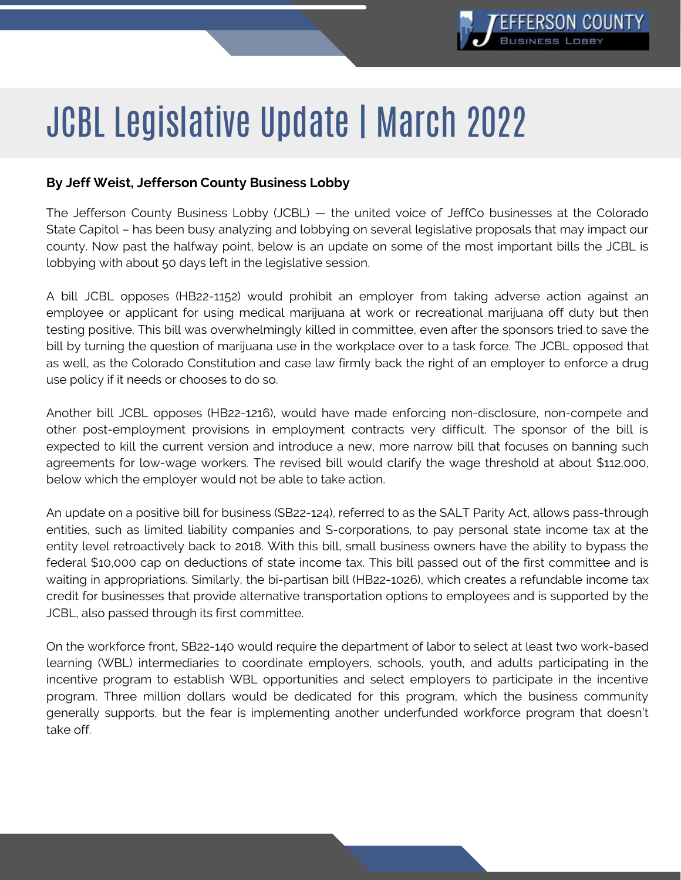

## JCBL Legislative Update | March 2022

## **By Jeff Weist, Jefferson County Business Lobby**

The Jefferson County Business Lobby (JCBL) — the united voice of JeffCo businesses at the Colorado State Capitol – has been busy analyzing and lobbying on several legislative proposals that may impact our county. Now past the halfway point, below is an update on some of the most important bills the JCBL is lobbying with about 50 days left in the legislative session.

A bill JCBL opposes (HB22-1152) would prohibit an employer from taking adverse action against an employee or applicant for using medical marijuana at work or recreational marijuana off duty but then testing positive. This bill was overwhelmingly killed in committee, even after the sponsors tried to save the bill by turning the question of marijuana use in the workplace over to a task force. The JCBL opposed that as well, as the Colorado Constitution and case law firmly back the right of an employer to enforce a drug use policy if it needs or chooses to do so.

Another bill JCBL opposes (HB22-1216), would have made enforcing non-disclosure, non-compete and other post-employment provisions in employment contracts very difficult. The sponsor of the bill is expected to kill the current version and introduce a new, more narrow bill that focuses on banning such agreements for low-wage workers. The revised bill would clarify the wage threshold at about \$112,000, below which the employer would not be able to take action.

An update on a positive bill for business (SB22-124), referred to as the SALT Parity Act, allows pass-through entities, such as limited liability companies and S-corporations, to pay personal state income tax at the entity level retroactively back to 2018. With this bill, small business owners have the ability to bypass the federal \$10,000 cap on deductions of state income tax. This bill passed out of the first committee and is waiting in appropriations. Similarly, the bi-partisan bill (HB22-1026), which creates a refundable income tax credit for businesses that provide alternative transportation options to employees and is supported by the JCBL, also passed through its first committee.

On the workforce front, SB22-140 would require the department of labor to select at least two work-based learning (WBL) intermediaries to coordinate employers, schools, youth, and adults participating in the incentive program to establish WBL opportunities and select employers to participate in the incentive program. Three million dollars would be dedicated for this program, which the business community generally supports, but the fear is implementing another underfunded workforce program that doesn't take off.